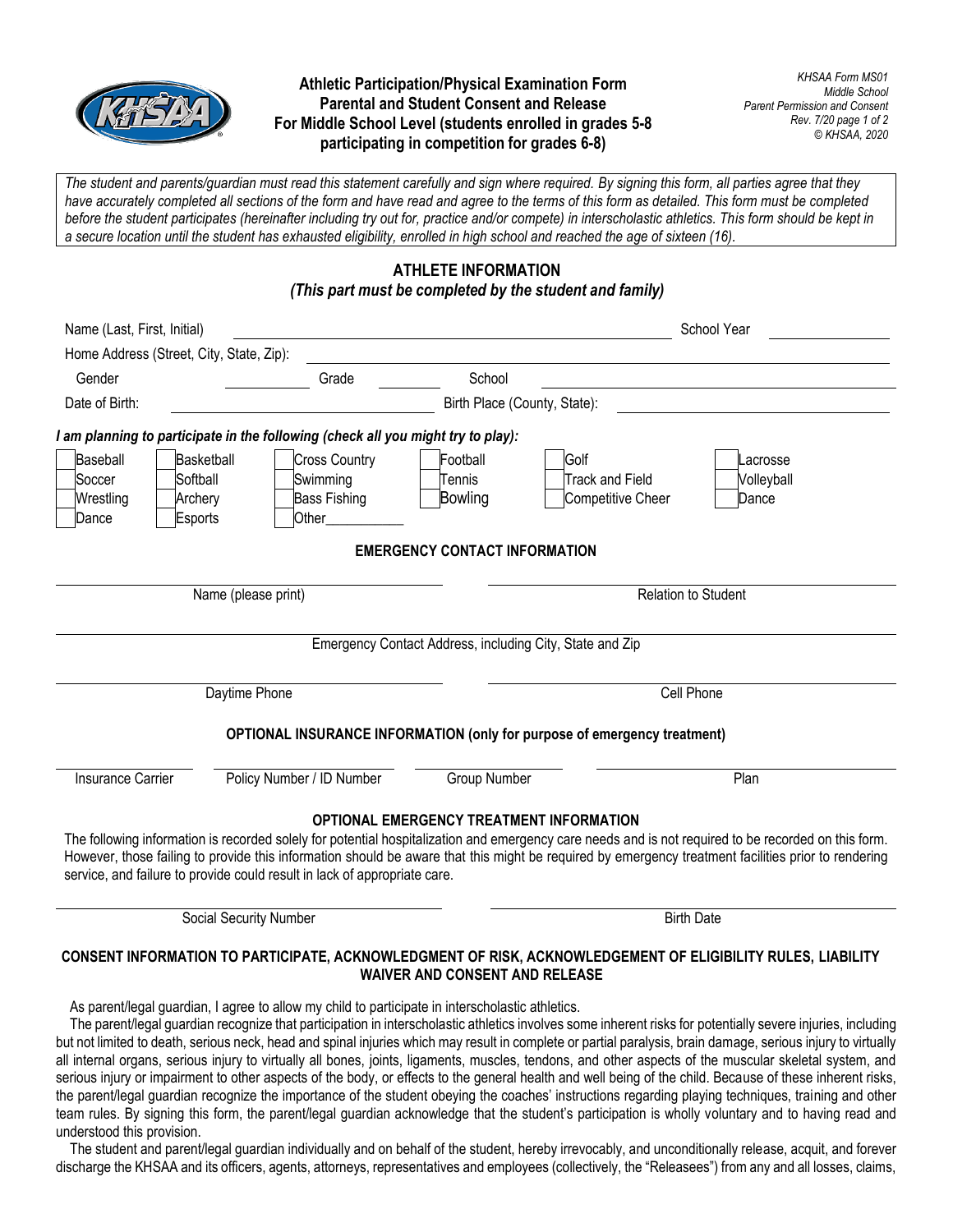

## **Athletic Participation/Physical Examination Form Parental and Student Consent and Release For Middle School Level (students enrolled in grades 5-8 participating in competition for grades 6-8)**

*KHSAA Form MS01 Middle School Parent Permission and Consent Rev. 7/20 page 1 of 2 © KHSAA, 2020*

*The student and parents/guardian must read this statement carefully and sign where required. By signing this form, all parties agree that they have accurately completed all sections of the form and have read and agree to the terms of this form as detailed. This form must be completed before the student participates (hereinafter including try out for, practice and/or compete) in interscholastic athletics. This form should be kept in a secure location until the student has exhausted eligibility, enrolled in high school and reached the age of sixteen (16).*

## **ATHLETE INFORMATION** *(This part must be completed by the student and family)*

| Name (Last, First, Initial)                                                                                                                                                                                                                                                                                                                                                                                                                 |                                                     |                                                                  |                                                          | School Year                                                |                                 |  |  |
|---------------------------------------------------------------------------------------------------------------------------------------------------------------------------------------------------------------------------------------------------------------------------------------------------------------------------------------------------------------------------------------------------------------------------------------------|-----------------------------------------------------|------------------------------------------------------------------|----------------------------------------------------------|------------------------------------------------------------|---------------------------------|--|--|
|                                                                                                                                                                                                                                                                                                                                                                                                                                             | Home Address (Street, City, State, Zip):            |                                                                  |                                                          |                                                            |                                 |  |  |
| Gender                                                                                                                                                                                                                                                                                                                                                                                                                                      | Grade                                               |                                                                  | School                                                   |                                                            |                                 |  |  |
| Date of Birth:                                                                                                                                                                                                                                                                                                                                                                                                                              |                                                     |                                                                  |                                                          | Birth Place (County, State):                               |                                 |  |  |
| I am planning to participate in the following (check all you might try to play):                                                                                                                                                                                                                                                                                                                                                            |                                                     |                                                                  |                                                          |                                                            |                                 |  |  |
| Baseball<br>Soccer<br>Wrestling<br>Dance                                                                                                                                                                                                                                                                                                                                                                                                    | <b>Basketball</b><br>Softball<br>Archery<br>Esports | <b>Cross Country</b><br>Swimming<br><b>Bass Fishing</b><br>Other | Football<br>Tennis<br><b>Bowling</b>                     | Golf<br><b>Track and Field</b><br><b>Competitive Cheer</b> | Lacrosse<br>Volleyball<br>Dance |  |  |
| <b>EMERGENCY CONTACT INFORMATION</b>                                                                                                                                                                                                                                                                                                                                                                                                        |                                                     |                                                                  |                                                          |                                                            |                                 |  |  |
|                                                                                                                                                                                                                                                                                                                                                                                                                                             | Name (please print)                                 |                                                                  |                                                          | Relation to Student                                        |                                 |  |  |
|                                                                                                                                                                                                                                                                                                                                                                                                                                             |                                                     |                                                                  | Emergency Contact Address, including City, State and Zip |                                                            |                                 |  |  |
| Daytime Phone                                                                                                                                                                                                                                                                                                                                                                                                                               |                                                     |                                                                  |                                                          | Cell Phone                                                 |                                 |  |  |
| <b>OPTIONAL INSURANCE INFORMATION (only for purpose of emergency treatment)</b>                                                                                                                                                                                                                                                                                                                                                             |                                                     |                                                                  |                                                          |                                                            |                                 |  |  |
| <b>Insurance Carrier</b>                                                                                                                                                                                                                                                                                                                                                                                                                    |                                                     | Policy Number / ID Number                                        | Group Number                                             |                                                            | Plan                            |  |  |
| <b>OPTIONAL EMERGENCY TREATMENT INFORMATION</b><br>The following information is recorded solely for potential hospitalization and emergency care needs and is not required to be recorded on this form.<br>However, those failing to provide this information should be aware that this might be required by emergency treatment facilities prior to rendering<br>service, and failure to provide could result in lack of appropriate care. |                                                     |                                                                  |                                                          |                                                            |                                 |  |  |
| Social Security Number                                                                                                                                                                                                                                                                                                                                                                                                                      |                                                     |                                                                  |                                                          | <b>Birth Date</b>                                          |                                 |  |  |

## **CONSENT INFORMATION TO PARTICIPATE, ACKNOWLEDGMENT OF RISK, ACKNOWLEDGEMENT OF ELIGIBILITY RULES, LIABILITY WAIVER AND CONSENT AND RELEASE**

As parent/legal guardian, I agree to allow my child to participate in interscholastic athletics.

The parent/legal guardian recognize that participation in interscholastic athletics involves some inherent risks for potentially severe injuries, including but not limited to death, serious neck, head and spinal injuries which may result in complete or partial paralysis, brain damage, serious injury to virtually all internal organs, serious injury to virtually all bones, joints, ligaments, muscles, tendons, and other aspects of the muscular skeletal system, and serious injury or impairment to other aspects of the body, or effects to the general health and well being of the child. Because of these inherent risks, the parent/legal guardian recognize the importance of the student obeying the coaches' instructions regarding playing techniques, training and other team rules. By signing this form, the parent/legal guardian acknowledge that the student's participation is wholly voluntary and to having read and understood this provision.

The student and parent/legal guardian individually and on behalf of the student, hereby irrevocably, and unconditionally release, acquit, and forever discharge the KHSAA and its officers, agents, attorneys, representatives and employees (collectively, the "Releasees") from any and all losses, claims,